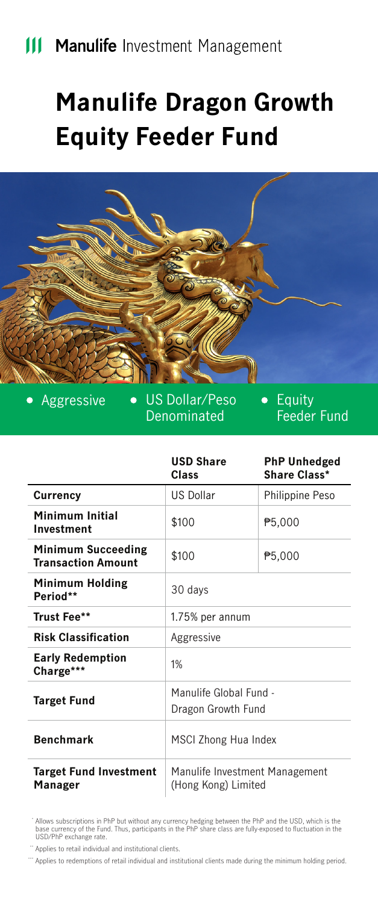# **Manulife Dragon Growth Equity Feeder Fund**



Aggressive . US Dollar/Peso Denominated

Equity Feeder Fund

|                                                 | <b>USD Share</b><br>Class                             | <b>PhP Unhedged</b><br>Share Class* |
|-------------------------------------------------|-------------------------------------------------------|-------------------------------------|
| Currency                                        | <b>US Dollar</b>                                      | Philippine Peso                     |
| Minimum Initial<br>Investment                   | \$100                                                 | P5,000                              |
| Minimum Succeeding<br><b>Transaction Amount</b> | \$100                                                 | P5,000                              |
| Minimum Holding<br>Period**                     | 30 days                                               |                                     |
| Trust Fee**                                     | 1.75% per annum                                       |                                     |
| <b>Risk Classification</b>                      | Aggressive                                            |                                     |
| <b>Early Redemption</b><br>Charge***            | 1%                                                    |                                     |
| <b>Target Fund</b>                              | Manulife Global Fund -                                |                                     |
|                                                 | Dragon Growth Fund                                    |                                     |
| <b>Benchmark</b>                                | MSCI Zhong Hua Index                                  |                                     |
| <b>Target Fund Investment</b><br>Manager        | Manulife Investment Management<br>(Hong Kong) Limited |                                     |

Allows subscriptions in PhP but without any currency hedging between the PhP and the USD, which is the base currency of the Fund. Thus, participants in the PhP share class are fully-exposed to fluctuation in the USD/PhP exchange rate.

" Applies to retail individual and institutional clients.

\*\*\*\*\* Applies to redemptions of retail individual and institutional clients made during the minimum holding period.